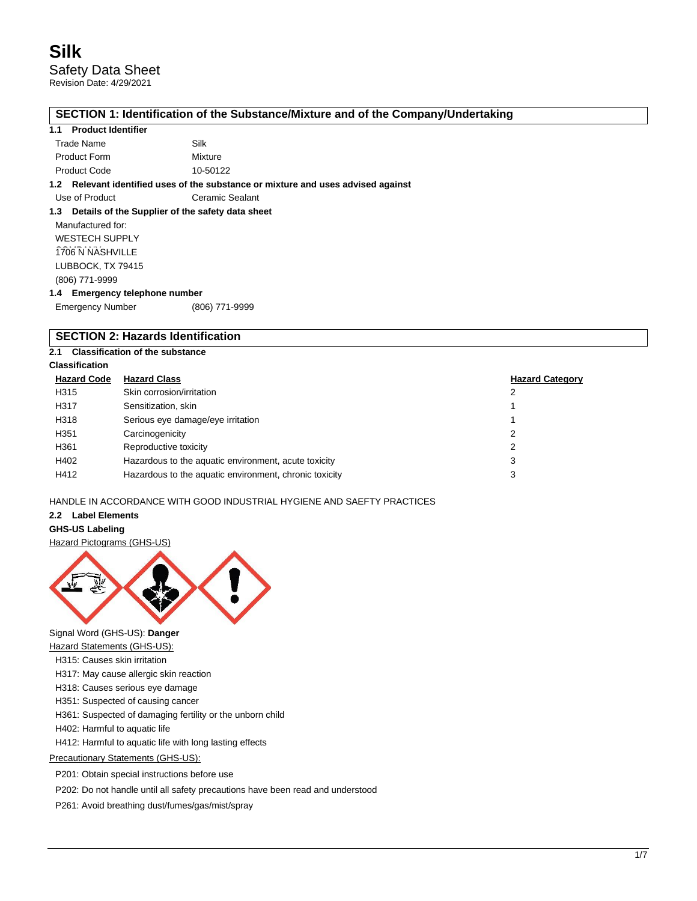## **SECTION 1: Identification of the Substance/Mixture and of the Company/Undertaking**

## **1.1 Product Identifier**

| Trade Name          | Silk     |
|---------------------|----------|
| <b>Product Form</b> | Mixture  |
| <b>Product Code</b> | 10-50122 |

#### **1.2 Relevant identified uses of the substance or mixture and uses advised against**

Use of Product **Ceramic Sealant** 

#### **1.3 Details of the Supplier of the safety data sheet**

Manufactured for: WESTECH SUPPLY 1706 N NASHVILLE LUBBOCK, TX 79415 (806) 771-9999

#### **1.4 Emergency telephone number**

Emergency Number (806) 771-9999

## **SECTION 2: Hazards Identification**

## **2.1 Classification of the substance**

## **Classification**

| <b>Hazard Code</b> | <b>Hazard Class</b>                                    | <b>Hazard Category</b> |
|--------------------|--------------------------------------------------------|------------------------|
| H315               | Skin corrosion/irritation                              |                        |
| H317               | Sensitization, skin                                    |                        |
| H318               | Serious eye damage/eye irritation                      |                        |
| H351               | Carcinogenicity                                        | 2                      |
| H361               | Reproductive toxicity                                  |                        |
| H402               | Hazardous to the aquatic environment, acute toxicity   | 3                      |
| H412               | Hazardous to the aquatic environment, chronic toxicity |                        |

## HANDLE IN ACCORDANCE WITH GOOD INDUSTRIAL HYGIENE AND SAEFTY PRACTICES

## **2.2 Label Elements**

### **GHS-US Labeling**

Hazard Pictograms (GHS-US)



Signal Word (GHS-US): **Danger**

Hazard Statements (GHS-US):

- H315: Causes skin irritation
- H317: May cause allergic skin reaction
- H318: Causes serious eye damage
- H351: Suspected of causing cancer

H361: Suspected of damaging fertility or the unborn child

H402: Harmful to aquatic life

H412: Harmful to aquatic life with long lasting effects

## Precautionary Statements (GHS-US):

P201: Obtain special instructions before use

P202: Do not handle until all safety precautions have been read and understood

P261: Avoid breathing dust/fumes/gas/mist/spray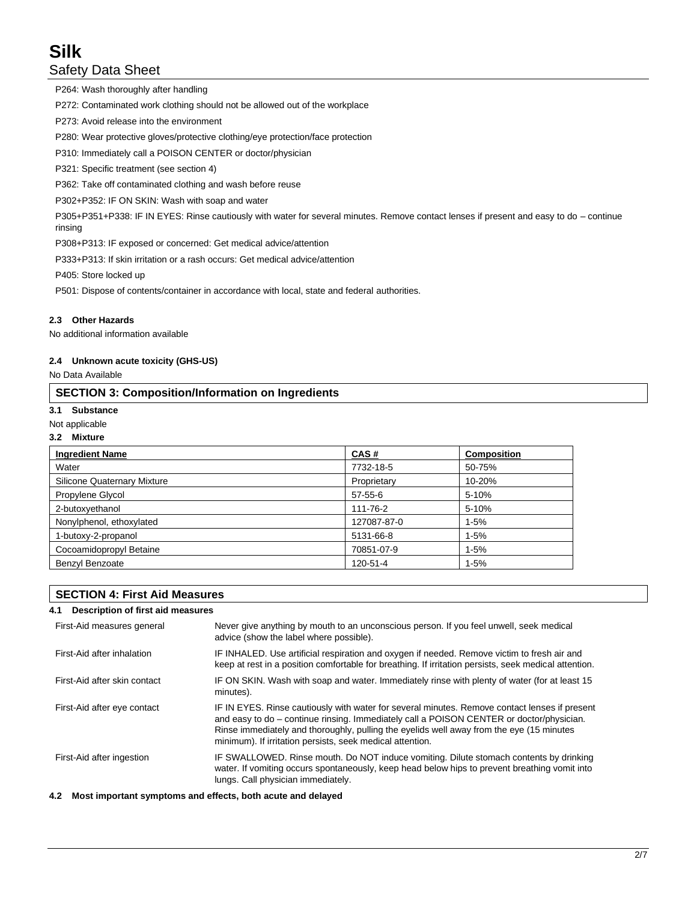P264: Wash thoroughly after handling

P272: Contaminated work clothing should not be allowed out of the workplace

P273: Avoid release into the environment

P280: Wear protective gloves/protective clothing/eye protection/face protection

P310: Immediately call a POISON CENTER or doctor/physician

P321: Specific treatment (see section 4)

P362: Take off contaminated clothing and wash before reuse

P302+P352: IF ON SKIN: Wash with soap and water

P305+P351+P338: IF IN EYES: Rinse cautiously with water for several minutes. Remove contact lenses if present and easy to do – continue rinsing

P308+P313: IF exposed or concerned: Get medical advice/attention

P333+P313: If skin irritation or a rash occurs: Get medical advice/attention

P405: Store locked up

P501: Dispose of contents/container in accordance with local, state and federal authorities.

## **2.3 Other Hazards**

No additional information available

#### **2.4 Unknown acute toxicity (GHS-US)**

No Data Available

## **SECTION 3: Composition/Information on Ingredients**

#### **3.1 Substance**

#### Not applicable

#### **3.2 Mixture**

| <b>Ingredient Name</b>      | CAS#          | <b>Composition</b> |
|-----------------------------|---------------|--------------------|
| Water                       | 7732-18-5     | 50-75%             |
| Silicone Quaternary Mixture | Proprietary   | 10-20%             |
| Propylene Glycol            | $57 - 55 - 6$ | 5-10%              |
| 2-butoxyethanol             | 111-76-2      | 5-10%              |
| Nonylphenol, ethoxylated    | 127087-87-0   | $1 - 5%$           |
| 1-butoxy-2-propanol         | 5131-66-8     | $1 - 5%$           |
| Cocoamidopropyl Betaine     | 70851-07-9    | $1 - 5%$           |
| Benzyl Benzoate             | 120-51-4      | $1 - 5%$           |

## **SECTION 4: First Aid Measures**

#### **4.1 Description of first aid measures**

| First-Aid measures general   | Never give anything by mouth to an unconscious person. If you feel unwell, seek medical<br>advice (show the label where possible).                                                                                                                                                                                                                 |
|------------------------------|----------------------------------------------------------------------------------------------------------------------------------------------------------------------------------------------------------------------------------------------------------------------------------------------------------------------------------------------------|
| First-Aid after inhalation   | IF INHALED. Use artificial respiration and oxygen if needed. Remove victim to fresh air and<br>keep at rest in a position comfortable for breathing. If irritation persists, seek medical attention.                                                                                                                                               |
| First-Aid after skin contact | IF ON SKIN. Wash with soap and water. Immediately rinse with plenty of water (for at least 15<br>minutes).                                                                                                                                                                                                                                         |
| First-Aid after eye contact  | IF IN EYES. Rinse cautiously with water for several minutes. Remove contact lenses if present<br>and easy to do – continue rinsing. Immediately call a POISON CENTER or doctor/physician.<br>Rinse immediately and thoroughly, pulling the eyelids well away from the eye (15 minutes<br>minimum). If irritation persists, seek medical attention. |
| First-Aid after ingestion    | IF SWALLOWED. Rinse mouth. Do NOT induce vomiting. Dilute stomach contents by drinking<br>water. If vomiting occurs spontaneously, keep head below hips to prevent breathing vomit into<br>lungs. Call physician immediately.                                                                                                                      |

#### **4.2 Most important symptoms and effects, both acute and delayed**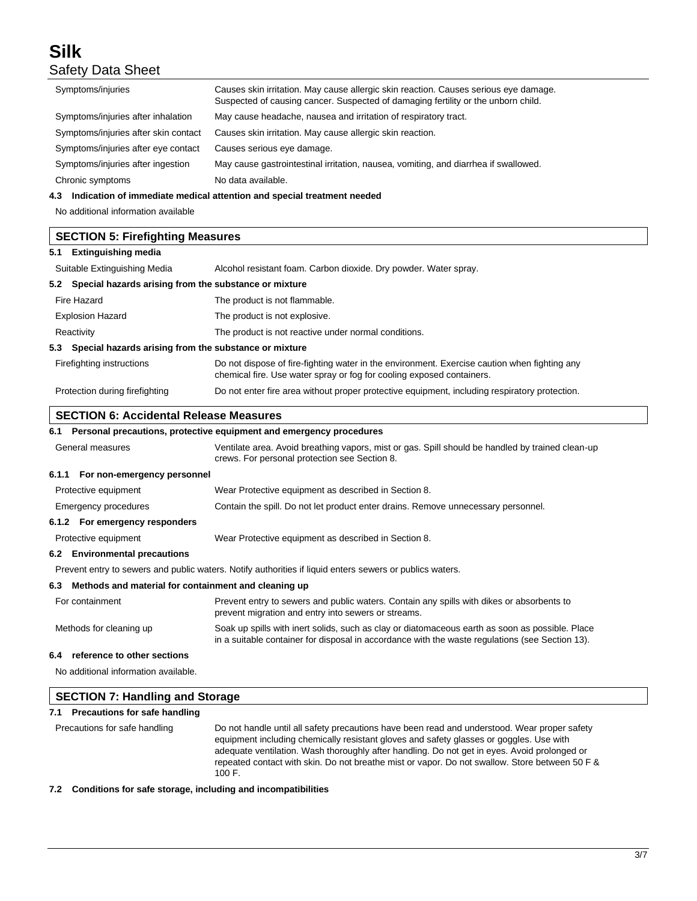| Symptoms/injuries                                            | Causes skin irritation. May cause allergic skin reaction. Causes serious eye damage.<br>Suspected of causing cancer. Suspected of damaging fertility or the unborn child. |  |
|--------------------------------------------------------------|---------------------------------------------------------------------------------------------------------------------------------------------------------------------------|--|
| Symptoms/injuries after inhalation                           | May cause headache, nausea and irritation of respiratory tract.                                                                                                           |  |
| Symptoms/injuries after skin contact                         | Causes skin irritation. May cause allergic skin reaction.                                                                                                                 |  |
| Symptoms/injuries after eye contact                          | Causes serious eye damage.                                                                                                                                                |  |
| Symptoms/injuries after ingestion                            | May cause gastrointestinal irritation, nausea, vomiting, and diarrhea if swallowed.                                                                                       |  |
| Chronic symptoms                                             | No data available.                                                                                                                                                        |  |
| 4.3                                                          | Indication of immediate medical attention and special treatment needed                                                                                                    |  |
| No additional information available                          |                                                                                                                                                                           |  |
| <b>SECTION 5: Firefighting Measures</b>                      |                                                                                                                                                                           |  |
| <b>Extinguishing media</b><br>5.1                            |                                                                                                                                                                           |  |
| Suitable Extinguishing Media                                 | Alcohol resistant foam. Carbon dioxide. Dry powder. Water spray.                                                                                                          |  |
| Special hazards arising from the substance or mixture<br>5.2 |                                                                                                                                                                           |  |
| Fire Hazard                                                  | The product is not flammable.                                                                                                                                             |  |
| <b>Explosion Hazard</b>                                      | The product is not explosive.                                                                                                                                             |  |
| Reactivity                                                   | The product is not reactive under normal conditions.                                                                                                                      |  |
| Special hazards arising from the substance or mixture<br>5.3 |                                                                                                                                                                           |  |
| Firefighting instructions                                    | Do not dispose of fire-fighting water in the environment. Exercise caution when fighting any<br>chemical fire. Use water spray or fog for cooling exposed containers.     |  |
| Protection during firefighting                               | Do not enter fire area without proper protective equipment, including respiratory protection.                                                                             |  |
| <b>SECTION 6: Accidental Release Measures</b>                |                                                                                                                                                                           |  |

## **SECTION 6: Accidental Release Measures**

## **6.1 Personal precautions, protective equipment and emergency procedures**

| General measures | Ventilate area. Avoid breathing vapors, mist or gas. Spill should be handled by trained clean-up |
|------------------|--------------------------------------------------------------------------------------------------|
|                  | crews. For personal protection see Section 8.                                                    |
| - - - -          |                                                                                                  |

## **6.1.1 For non-emergency personnel**

Protective equipment Wear Protective equipment as described in Section 8.

| Contain the spill. Do not let product enter drains. Remove unnecessary personnel.<br>Emergency procedures |  |
|-----------------------------------------------------------------------------------------------------------|--|

## **6.1.2 For emergency responders** Protective equipment Wear Protective equipment as described in Section 8.

#### **6.2 Environmental precautions**

Prevent entry to sewers and public waters. Notify authorities if liquid enters sewers or publics waters.

### **6.3 Methods and material for containment and cleaning up**

| For containment         | Prevent entry to sewers and public waters. Contain any spills with dikes or absorbents to<br>prevent migration and entry into sewers or streams.                                                   |
|-------------------------|----------------------------------------------------------------------------------------------------------------------------------------------------------------------------------------------------|
| Methods for cleaning up | Soak up spills with inert solids, such as clay or diatomaceous earth as soon as possible. Place<br>in a suitable container for disposal in accordance with the waste regulations (see Section 13). |

## **6.4 reference to other sections**

No additional information available.

| <b>SECTION 7: Handling and Storage</b> |                                                                                                                                                                                                                                                                                                                                                                                                     |  |
|----------------------------------------|-----------------------------------------------------------------------------------------------------------------------------------------------------------------------------------------------------------------------------------------------------------------------------------------------------------------------------------------------------------------------------------------------------|--|
| Precautions for safe handling<br>7.1   |                                                                                                                                                                                                                                                                                                                                                                                                     |  |
| Precautions for safe handling          | Do not handle until all safety precautions have been read and understood. Wear proper safety<br>equipment including chemically resistant gloves and safety glasses or goggles. Use with<br>adequate ventilation. Wash thoroughly after handling. Do not get in eyes. Avoid prolonged or<br>repeated contact with skin. Do not breathe mist or vapor. Do not swallow. Store between 50 F &<br>100 F. |  |

**7.2 Conditions for safe storage, including and incompatibilities**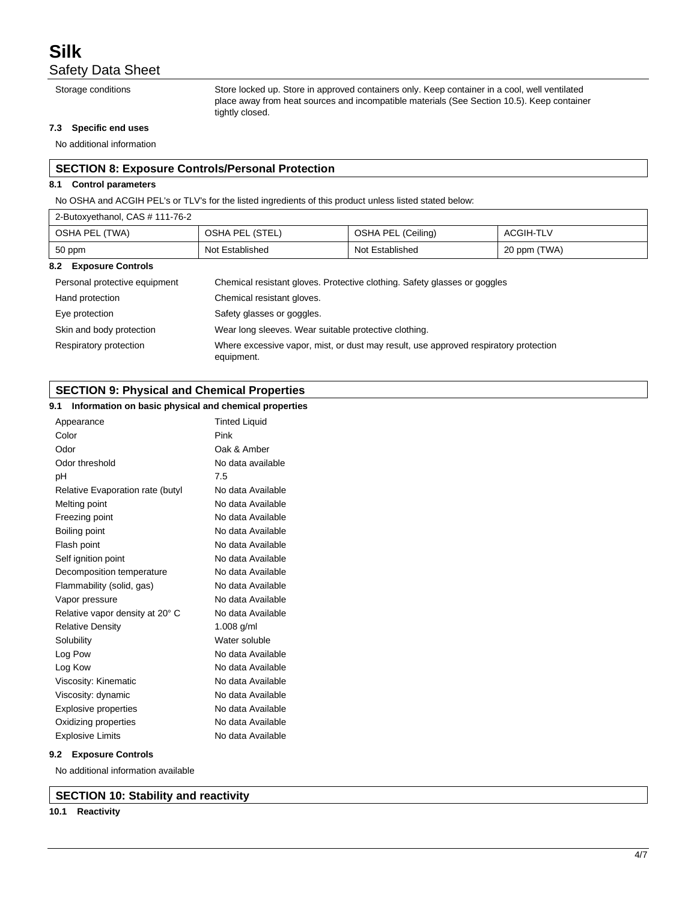Storage conditions Store locked up. Store in approved containers only. Keep container in a cool, well ventilated place away from heat sources and incompatible materials (See Section 10.5). Keep container tightly closed.

#### **7.3 Specific end uses**

No additional information

## **SECTION 8: Exposure Controls/Personal Protection**

#### **8.1 Control parameters**

No OSHA and ACGIH PEL's or TLV's for the listed ingredients of this product unless listed stated below:

| 2-Butoxyethanol, CAS # 111-76-2 |                                                                                                    |                    |                  |
|---------------------------------|----------------------------------------------------------------------------------------------------|--------------------|------------------|
| OSHA PEL (TWA)                  | OSHA PEL (STEL)                                                                                    | OSHA PEL (Ceiling) | <b>ACGIH-TLV</b> |
| 50 ppm                          | Not Established                                                                                    | Not Established    | 20 ppm (TWA)     |
| 8.2 Exposure Controls           |                                                                                                    |                    |                  |
| Personal protective equipment   | Chemical resistant gloves. Protective clothing. Safety glasses or goggles                          |                    |                  |
| Hand protection                 | Chemical resistant gloves.                                                                         |                    |                  |
| Eye protection                  | Safety glasses or goggles.                                                                         |                    |                  |
| Skin and body protection        | Wear long sleeves. Wear suitable protective clothing.                                              |                    |                  |
| Respiratory protection          | Where excessive vapor, mist, or dust may result, use approved respiratory protection<br>equipment. |                    |                  |

## **SECTION 9: Physical and Chemical Properties**

## **9.1 Information on basic physical and chemical properties**

| <b>INTERNATION OF BEAT</b> PHYSICAL AND CHEMICAL PROPERTIES |                      |  |
|-------------------------------------------------------------|----------------------|--|
| Appearance                                                  | <b>Tinted Liquid</b> |  |
| Color                                                       | Pink                 |  |
| Odor                                                        | Oak & Amber          |  |
| Odor threshold                                              | No data available    |  |
| рH                                                          | 7.5                  |  |
| Relative Evaporation rate (butyl                            | No data Available    |  |
| Melting point                                               | No data Available    |  |
| Freezing point                                              | No data Available    |  |
| Boiling point                                               | No data Available    |  |
| Flash point                                                 | No data Available    |  |
| Self ignition point                                         | No data Available    |  |
| Decomposition temperature                                   | No data Available    |  |
| Flammability (solid, gas)                                   | No data Available    |  |
| Vapor pressure                                              | No data Available    |  |
| Relative vapor density at 20° C                             | No data Available    |  |
| <b>Relative Density</b>                                     | 1.008 $g/ml$         |  |
| Solubility                                                  | Water soluble        |  |
| Log Pow                                                     | No data Available    |  |
| Log Kow                                                     | No data Available    |  |
| Viscosity: Kinematic                                        | No data Available    |  |
| Viscosity: dynamic                                          | No data Available    |  |
| Explosive properties                                        | No data Available    |  |
| Oxidizing properties                                        | No data Available    |  |
| <b>Explosive Limits</b>                                     | No data Available    |  |
|                                                             |                      |  |

#### **9.2 Exposure Controls**

No additional information available

**SECTION 10: Stability and reactivity**

#### **10.1 Reactivity**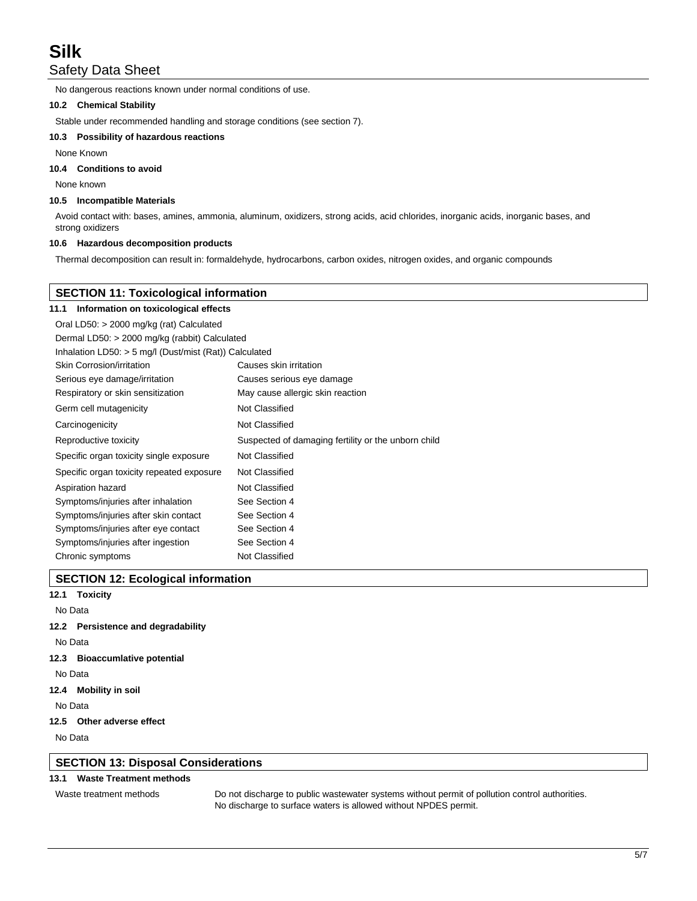No dangerous reactions known under normal conditions of use.

#### **10.2 Chemical Stability**

Stable under recommended handling and storage conditions (see section 7).

#### **10.3 Possibility of hazardous reactions**

None Known

## **10.4 Conditions to avoid**

None known

#### **10.5 Incompatible Materials**

Avoid contact with: bases, amines, ammonia, aluminum, oxidizers, strong acids, acid chlorides, inorganic acids, inorganic bases, and strong oxidizers

### **10.6 Hazardous decomposition products**

Thermal decomposition can result in: formaldehyde, hydrocarbons, carbon oxides, nitrogen oxides, and organic compounds

## **SECTION 11: Toxicological information**

| Information on toxicological effects<br>11.1             |                                                     |  |
|----------------------------------------------------------|-----------------------------------------------------|--|
| Oral LD50: > 2000 mg/kg (rat) Calculated                 |                                                     |  |
| Dermal LD50: > 2000 mg/kg (rabbit) Calculated            |                                                     |  |
| Inhalation LD50: $>$ 5 mg/l (Dust/mist (Rat)) Calculated |                                                     |  |
| Skin Corrosion/irritation                                | Causes skin irritation                              |  |
| Serious eye damage/irritation                            | Causes serious eye damage                           |  |
| Respiratory or skin sensitization                        | May cause allergic skin reaction                    |  |
| Germ cell mutagenicity                                   | Not Classified                                      |  |
| Carcinogenicity                                          | Not Classified                                      |  |
| Reproductive toxicity                                    | Suspected of damaging fertility or the unborn child |  |
| Specific organ toxicity single exposure                  | Not Classified                                      |  |
| Specific organ toxicity repeated exposure                | Not Classified                                      |  |
| Aspiration hazard                                        | Not Classified                                      |  |
| Symptoms/injuries after inhalation                       | See Section 4                                       |  |
| Symptoms/injuries after skin contact                     | See Section 4                                       |  |
| Symptoms/injuries after eye contact                      | See Section 4                                       |  |
| Symptoms/injuries after ingestion                        | See Section 4                                       |  |
| Chronic symptoms                                         | Not Classified                                      |  |

## **SECTION 12: Ecological information**

**12.1 Toxicity**

## No Data

## **12.2 Persistence and degradability**

No Data

## **12.3 Bioaccumlative potential**

No Data

**12.4 Mobility in soil**

No Data

## **12.5 Other adverse effect**

No Data

## **SECTION 13: Disposal Considerations**

## **13.1 Waste Treatment methods**

Waste treatment methods Do not discharge to public wastewater systems without permit of pollution control authorities. No discharge to surface waters is allowed without NPDES permit.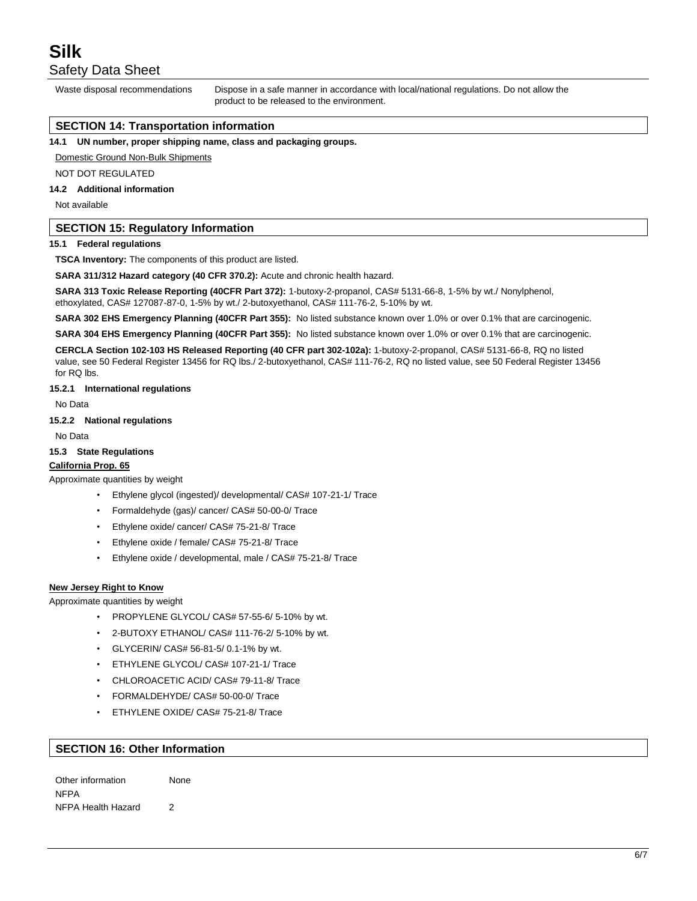Waste disposal recommendations Dispose in a safe manner in accordance with local/national regulations. Do not allow the product to be released to the environment.

## **SECTION 14: Transportation information**

**14.1 UN number, proper shipping name, class and packaging groups.**

#### Domestic Ground Non-Bulk Shipments

NOT DOT REGULATED

## **14.2 Additional information**

Not available

### **SECTION 15: Regulatory Information**

#### **15.1 Federal regulations**

**TSCA Inventory:** The components of this product are listed.

**SARA 311/312 Hazard category (40 CFR 370.2):** Acute and chronic health hazard.

**SARA 313 Toxic Release Reporting (40CFR Part 372):** 1-butoxy-2-propanol, CAS# 5131-66-8, 1-5% by wt./ Nonylphenol, ethoxylated, CAS# 127087-87-0, 1-5% by wt./ 2-butoxyethanol, CAS# 111-76-2, 5-10% by wt.

**SARA 302 EHS Emergency Planning (40CFR Part 355):** No listed substance known over 1.0% or over 0.1% that are carcinogenic.

**SARA 304 EHS Emergency Planning (40CFR Part 355):** No listed substance known over 1.0% or over 0.1% that are carcinogenic.

**CERCLA Section 102-103 HS Released Reporting (40 CFR part 302-102a):** 1-butoxy-2-propanol, CAS# 5131-66-8, RQ no listed value, see 50 Federal Register 13456 for RQ lbs./ 2-butoxyethanol, CAS# 111-76-2, RQ no listed value, see 50 Federal Register 13456 for RQ lbs.

#### **15.2.1 International regulations**

No Data

#### **15.2.2 National regulations**

No Data

#### **15.3 State Regulations**

#### **California Prop. 65**

Approximate quantities by weight

- Ethylene glycol (ingested)/ developmental/ CAS# 107-21-1/ Trace
- Formaldehyde (gas)/ cancer/ CAS# 50-00-0/ Trace
- Ethylene oxide/ cancer/ CAS# 75-21-8/ Trace
- Ethylene oxide / female/ CAS# 75-21-8/ Trace
- Ethylene oxide / developmental, male / CAS# 75-21-8/ Trace

#### **New Jersey Right to Know**

Approximate quantities by weight

- PROPYLENE GLYCOL/ CAS# 57-55-6/ 5-10% by wt.
- 2-BUTOXY ETHANOL/ CAS# 111-76-2/ 5-10% by wt.
- GLYCERIN/ CAS# 56-81-5/ 0.1-1% by wt.
- ETHYLENE GLYCOL/ CAS# 107-21-1/ Trace
- CHLOROACETIC ACID/ CAS# 79-11-8/ Trace
- FORMALDEHYDE/ CAS# 50-00-0/ Trace
- ETHYLENE OXIDE/ CAS# 75-21-8/ Trace

### **SECTION 16: Other Information**

Other information None NFPA NFPA Health Hazard 2